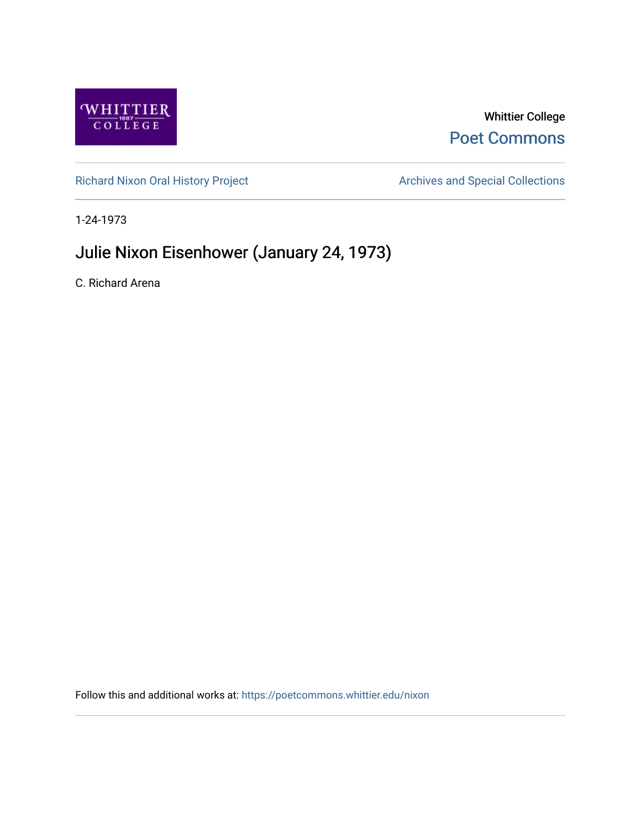

## Whittier College [Poet Commons](https://poetcommons.whittier.edu/)

[Richard Nixon Oral History Project](https://poetcommons.whittier.edu/nixon) **Archives and Special Collections** Archives and Special Collections

1-24-1973

## Julie Nixon Eisenhower (January 24, 1973)

C. Richard Arena

Follow this and additional works at: [https://poetcommons.whittier.edu/nixon](https://poetcommons.whittier.edu/nixon?utm_source=poetcommons.whittier.edu%2Fnixon%2F20&utm_medium=PDF&utm_campaign=PDFCoverPages)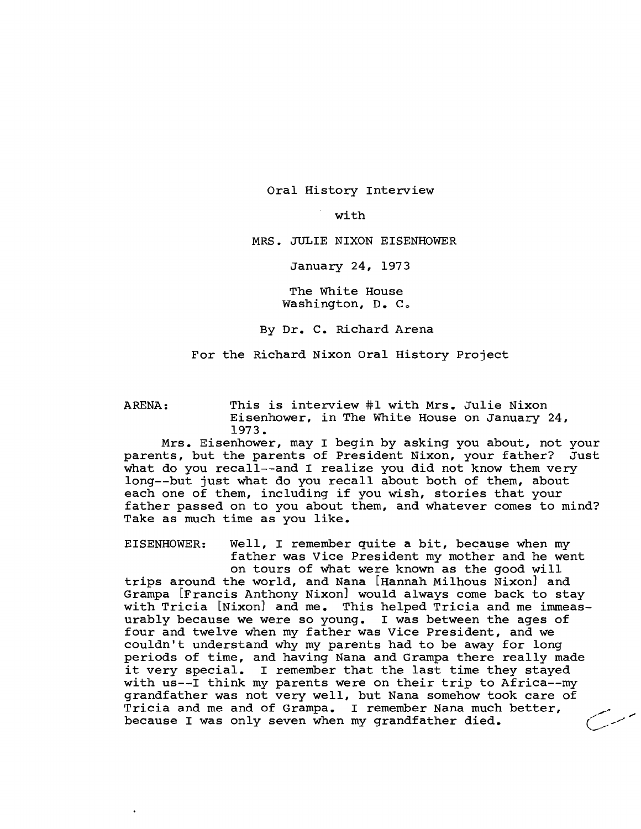Oral History Interview

with

MRS. JULIE NIXON EISENHOWER

January 24, 1973

The White House Washington, D. C.

By Dr. C. Richard Arena

For the Richard Nixon Oral History Project

ARENA: This is interview #1 with Mrs. Julie Nixon Eisenhower, in The White House on January 24, 1973.

Mrs. Eisenhower, may I begin by asking you about, not your parents, but the parents of President Nixon, your father? Just what do you recall--and I realize you did not know them very long--but just what do you recall about both of them, about each one of them, including if you wish, stories that your father passed on to you about them, and whatever comes to mind? Take as much time as you like.

EISENHOWER: Well, I remember quite a bit, because when my father was Vice President my mother and he went on tours of what were known as the good will trips around the world, and Nana [Hannah Milhous Nixon] and Grampa [Francis Anthony Nixon] would always come back to stay with Tricia [Nixon] and me. This helped Tricia and me immeasurably because we were so young. I was between the ages of four and twelve when my father was Vice President, and we couldn't understand why my parents had to be away for long periods of time, and having Nana and Grampa there really made it very special. <sup>I</sup> remember that the last time they stayed with us--I think my parents were on their trip to Africa--my grandfather was not very well, but Nana somehow took care of Tricia and me and of Grampa. <sup>I</sup> remember Nana much better, because I was only seven when my grandfather died.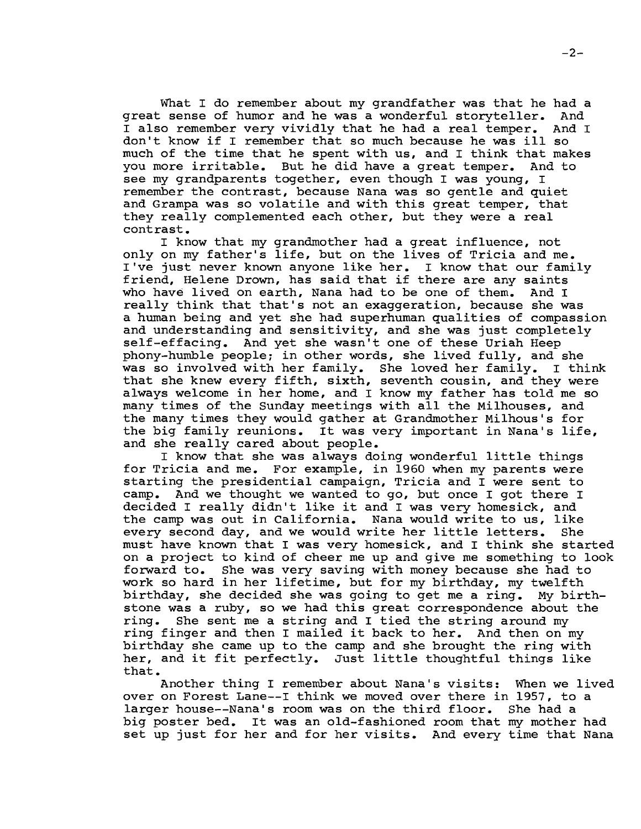What I do remember about my grandfather was that he had a<br>sense of humor and he was a wonderful storvteller. And great sense of humor and he was a wonderful storyteller. <sup>I</sup> also remember very vividly that he had <sup>a</sup> real temper. And <sup>I</sup> don't know if <sup>I</sup> remember that so much because he was ill so much of the time that he spent with us, and I think that makes you more irritable. But he did have a great temper. And to you more irritable. But he did have a great temper. see my grandparents together, even though I was young, I remember the contrast, because Nana was so gentle and quiet and Grampa was so volatile and with this great temper, that they really complemented each other, but they were <sup>a</sup> real contrast.

<sup>I</sup> know that my grandmother had <sup>a</sup> great influence, not only on my father's life, but on the lives of Tricia and me. I've just never known anyone like her. <sup>I</sup> know that our family friend, Helene Drown, has said that if there are any saints who have lived on earth, Nana had to be one of them. And I really think that that's not an exaggeration, because she was <sup>a</sup> human being and yet she had superhuman qualities of compassion and understanding and sensitivity, and she was just completely self-effacing. And yet she wasn't one of these Uriah Heep phony-humble people; in other words, she lived fully, and she was so involved with her family. She loved her family. I think that she knew every fifth, sixth, seventh cousin, and they were always welcome in her home, and <sup>I</sup> know my father has told me so many times of the Sunday meetings with all the Milhouses, and the many times they would gather at Grandmother Milhous's for the big family reunions. It was very important in Nana's life, and she really cared about people.

<sup>I</sup> know that she was always doing wonderful little things for Tricia and me. For example, in 1960 when my parents were starting the presidential campaign, Tricia and <sup>I</sup> were sent to camp. And we thought we wanted to go, but once I got there I decided <sup>I</sup> really didn't like it and <sup>I</sup> was very homesick, and the camp was out in California. Nana would write to us, like every second day, and we would write her little letters. must have known that <sup>I</sup> was very homesick, and <sup>I</sup> think she started on a project to kind of cheer me up and give me something to look<br>forward to. She was very saving with money because she had to She was very saving with money because she had to work so hard in her lifetime, but for my birthday, my twelfth birthday, she decided she was going to get me <sup>a</sup> ring. My birthstone was a ruby, so we had this great correspondence about the ring. She sent me a string and I tied the string around my She sent me a string and I tied the string around my ring finger and then <sup>I</sup> mailed it back to her. And then on my birthday she came up to the camp and she brought the ring with her, and it fit perfectly. Just little thoughtful things like that.

Another thing <sup>I</sup> remember about Nana's visits: When we lived over on Forest Lane--I think we moved over there in 1957, to a larger house--Nana's room was on the third floor. She had a larger house--Nana's room was on the third floor. big poster bed. It was an old-fashioned room that my mother had set up just for her and for her visits. And every time that Nana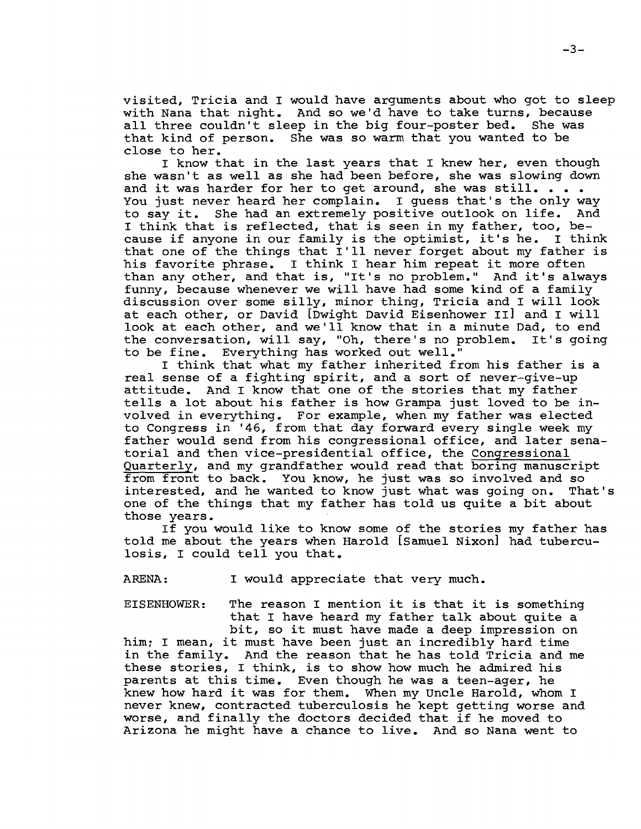visited, Tricia and <sup>I</sup> would have arguments about who got to sleep with Nana that night. And so we'd have to take turns, because all three couldn't sleep in the big four-poster bed. She was that kind of person. She was so warm that you wanted to be close to her.

<sup>I</sup> know that in the last years that <sup>I</sup> knew her, even though she wasn't as well as she had been before, she was slowing down and it was harder for her to get around, she was still. . . . You just never heard her complain. <sup>I</sup> guess that's the only way fou just never heard her complain. I guess that s the only way<br>to say it. She had an extremely positive outlook on life. And I think that is reflected, that is seen in my father, too, because if anyone in our family is the optimist, it's he. <sup>I</sup> think that one of the things that I'll never forget about my father is his favorite phrase. <sup>I</sup> think <sup>I</sup> hear him repeat it more often than any other, and that is, "It's no problem." And it's always funny, because whenever we will have had some kind of a family discussion over some silly, minor thing, Tricia and <sup>I</sup> will look at each other, or David [Dwight David Eisenhower II] and <sup>I</sup> will look at each other, and we'll know that in <sup>a</sup> minute Dad, to end the conversation, will say, "Oh, there's no problem. It's going to be fine. Everything has worked out well."

<sup>I</sup> think that what my father inherited from his father is <sup>a</sup> real sense of <sup>a</sup> fighting spirit, and <sup>a</sup> sort of never-give-up attitude. And <sup>I</sup> know that one of the stories that my father tells <sup>a</sup> lot about his father is how Grampa just loved to be involved in everything. For example, when my father was elected to Congress in '46, from that day forward every single week my father would send from his congressional office, and later senatorial and then vice-presidential office, the Congressional Quarterly, and my grandfather would read that boring manuscript from front to back. You know, he just was so involved and so interested, and he wanted to know just what was going on. That's one of the things that my father has told us quite <sup>a</sup> bit about those years.

If you would like to know some of the stories my father has told me about the years when Harold [Samuel Nixon] had tuberculosis, I could tell you that.

ARENA: I would appreciate that very much.

EISENHOWER: The reason <sup>I</sup> mention it is that it is something that <sup>I</sup> have heard my father talk about quite <sup>a</sup>

bit, so it must have made <sup>a</sup> deep impression on him; <sup>I</sup> mean, it must have been just an incredibly hard time in the family. And the reason that he has told Tricia and me these stories, <sup>I</sup> think, is to show how much he admired his parents at this time. Even though he was <sup>a</sup> teen-ager, he knew how hard it was for them. When my Uncle Harold, whom <sup>I</sup> never knew, contracted tuberculosis he kept getting worse and worse, and finally the doctors decided that if he moved to Arizona he might have <sup>a</sup> chance to live. And so Nana went to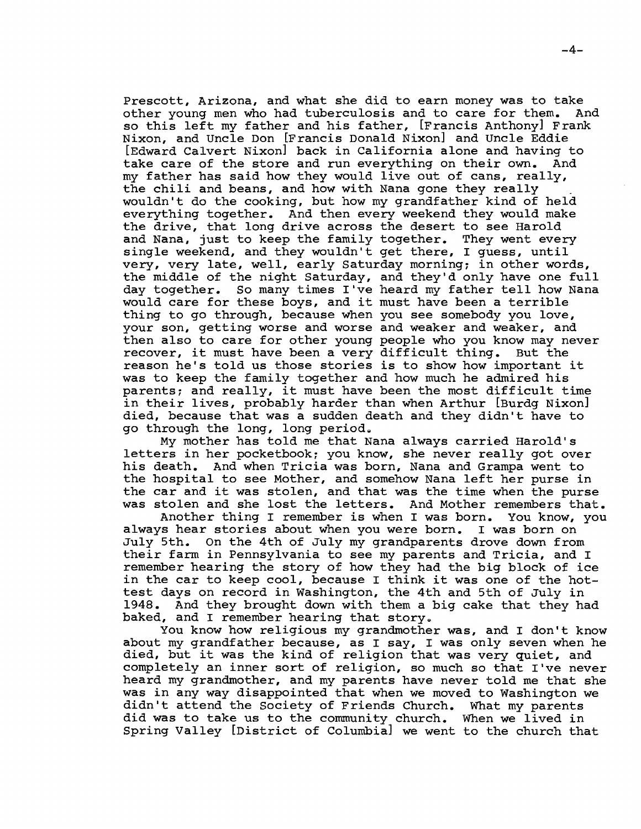Prescott, Arizona, and what she did to earn money was to take<br>other voung men who had tuberculosis and to care for them. And other young men who had tuberculosis and to care for them. so this left my father and his father, [Francis Anthony] Frank Nixon, and Uncle Don [Francis Donald Nixon] and Uncle Eddie [Edward Calvert Nixon] back in California alone and having to<br>take care of the store and run everything on their own. And take care of the store and run everything on their own. my father has said how they would live out of cans, really, the chili and beans, and how with Nana gone they really wouldn't do the cooking, but how my grandfather kind of held everything together. And then every weekend they would make the drive, that long drive across the desert to see Harold and Nana, just to keep the family together. They went every single weekend, and they wouldn't get there, I quess, until very, very late, well, early Saturday morning; in other words, the middle of the night Saturday, and they'd only have one full day together. So many times I've heard my father tell how Nana would care for these boys, and it must have been <sup>a</sup> terrible thing to go through, because when you see somebody you love, your son, getting worse and worse and weaker and weaker, and then also to care for other young people who you know may never recover, it must have been <sup>a</sup> very difficult thing. But the reason he's told us those stories is to show how important it was to keep the family together and how much he admired his parents; and really, it must have been the most difficult time in their lives, probably harder than when Arthur [Burdg Nixon] died, because that was <sup>a</sup> sudden death and they didn't have to go through the long, long period.

My mother has told me that Nana always carried Harold's letters in her pocketbook; you know, she never really got over his death. And when Tricia was born, Nana and Grampa went to the hospital to see Mother, and somehow Nana left her purse in the car and it was stolen, and that was the time when the purse was stolen and she lost the letters. And Mother remembers that.<br>Another thing I remember is when I was born. You know, you

Another thing I remember is when I was born. always hear stories about when you were born. <sup>I</sup> was born on July 5th. On the 4th of July my grandparents drove down from their farm in Pennsylvania to see my parents and Tricia, and <sup>I</sup> remember hearing the story of how they had the big block of ice in the car to keep cool, because <sup>I</sup> think it was one of the hottest days on record in Washington, the 4th and 5th of July in 1948. And they brought down with them <sup>a</sup> big cake that they had baked, and I remember hearing that story.

You know how religious my grandmother was, and I don't know about my grandfather because, as I say, I was only seven when he died, but it was the kind of religion that was very quiet, and completely an inner sort of religion, so much so that I've never heard my grandmother, and my parents have never told me that she was in any way disappointed that when we moved to Washington we didn't attend the society of Friends Church. What my parents did was to take us to the community church. When we lived in Spring Valley [District of Columbia] we went to the church that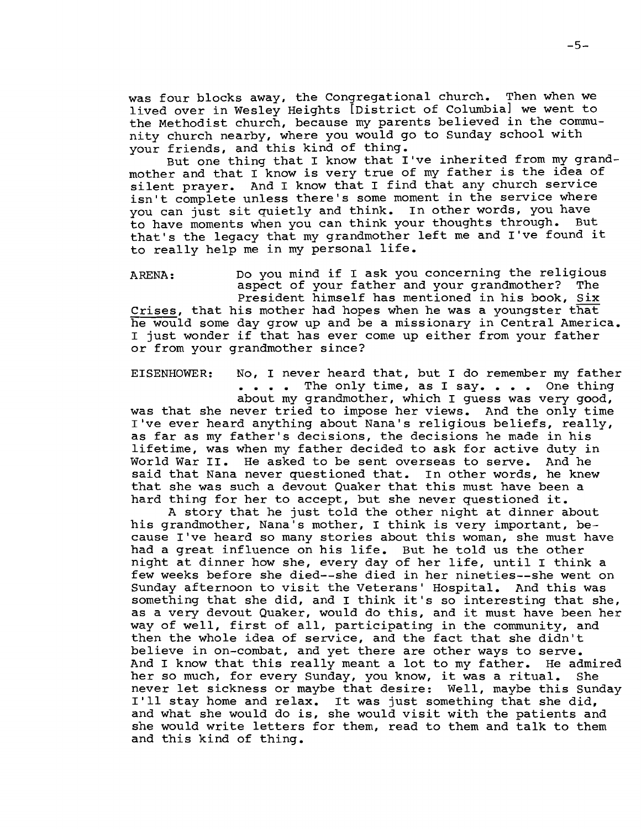was four blocks away, the Congregational church. Then when we lived over in Wesley Heights [District of Columbia] we went to the Methodist church, because my parents believed in the community church nearby, where you would go to Sunday school with your friends, and this kind of thing.

But one thing that <sup>I</sup> know that I've inherited from my grandmother and that <sup>I</sup> know is very true of my father is the idea of silent prayer. And <sup>I</sup> know that <sup>I</sup> find that any church service isn't complete unless there's some moment in the service where you can just sit quietly and think. In other words, you have to have moments when you can think your thoughts through. But that's the legacy that my grandmother left me and I've found it to really help me in my personal life.

ARENA: Do you mind if <sup>I</sup> ask you concerning the religious aspect of your father and your grandmother? The President himself has mentioned in his book, Six Crises, that his mother had hopes when he was <sup>a</sup> youngster that he would some day grow up and be a missionary in Central America. <sup>I</sup> just wonder if that has ever come up either from your father or from your grandmother since?

EISENHOWER: No, <sup>I</sup> never heard that, but <sup>I</sup> do remember my father . . . . The only time, as I say. . . . One thing about my grandmother, which I guess was very good, was that she never tried to impose her views. And the only time I've ever heard anything about Nana's religious beliefs, really, as far as my father's decisions, the decisions he made in his lifetime, was when my father decided to ask for active duty in World War II. He asked to be sent overseas to serve. And he said that Nana never questioned that. In other words, he knew that she was such <sup>a</sup> devout Quaker that this must have been <sup>a</sup> hard thing for her to accept, but she never questioned it.

<sup>A</sup> story that he just told the other night at dinner about his grandmother, Nana's mother, <sup>I</sup> think is very important, because I've heard so many stories about this woman, she must have had <sup>a</sup> great influence on his life. But he told us the other night at dinner how she, every day of her life, until <sup>I</sup> think <sup>a</sup> few weeks before she died--she died in her nineties--she went on Sunday afternoon to visit the Veterans' Hospital. And this was something that she did, and <sup>I</sup> think it's so interesting that she, as <sup>a</sup> very devout Quaker, would do this, and it must have been her way of well, first of all, participating in the community, and then the whole idea of service, and the fact that she didn't believe in on-combat, and yet there are other ways to serve. And <sup>I</sup> know that this really meant <sup>a</sup> lot to my father. He admired her so much, for every Sunday, you know, it was <sup>a</sup> ritual. She never let sickness or maybe that desire: Well, maybe this Sunday never let sickness or maybe that desire: Well, maybe this Sur<br>I'll stay home and relax. It was just something that she did, I if stay nome and feiax. It was just something that she did,<br>and what she would do is, she would visit with the patients and she would write letters for them, read to them and talk to them and this kind of thing.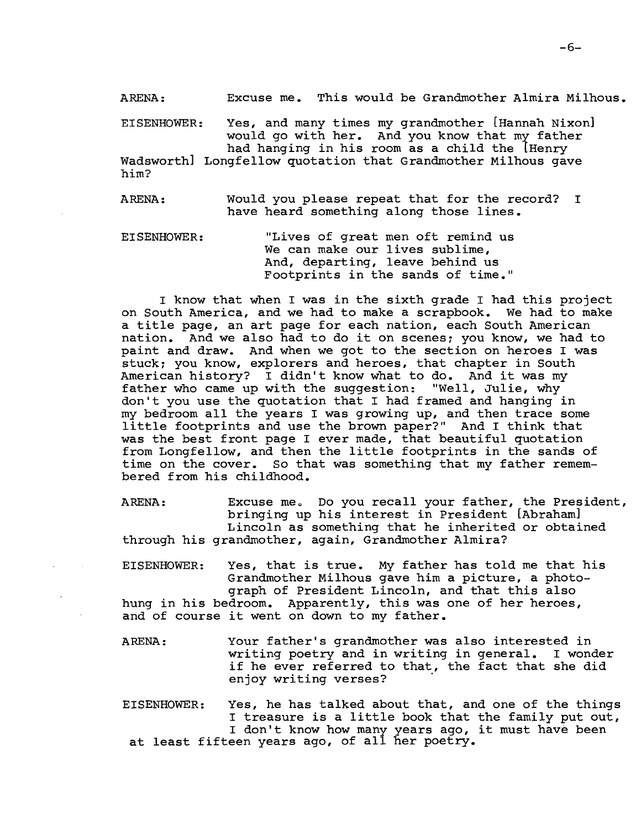ARENA: Excuse me. This would be Grandmother Almira Milhous.

EISENHOWER: Yes, and many times my grandmother [Hannah Nixon] would go with her. And you know that my father had hanging in his room as a child the [Henry Wadsworth] Longfellow quotation that Grandmother Milhous gave him?

ARENA: Would you please repeat that for the record? <sup>I</sup> have heard something along those lines.

EISENHOWER: "Lives of great men oft remind us We can make our lives sublime, And, departing, leave behind us Footprints in the sands of time."

<sup>I</sup> know that when <sup>I</sup> was in the sixth grade <sup>I</sup> had this project on South America, and we had to make a scrapbook. We had to make <sup>a</sup> title page, an art page for each nation, each South American nation. And we also had to do it on scenes; you know, we had to paint and draw. And when we got to the section on heroes I was stuck; you know, explorers and heroes, that chapter in South American history? <sup>I</sup> didn't know what to do. And it was my father who came up with the suggestion: "Well, Julie, why don't you use the quotation that I had framed and hanging in my bedroom all the years <sup>I</sup> was growing up, and then trace some little footprints and use the brown paper?" And <sup>I</sup> think that was the best front page I ever made, that beautiful quotation from Longfellow, and then the little footprints in the sands of time on the cover. So that was something that my father remembered from his childhood.

ARENA: Excuse me. Do you recall your father, the President, bringing up his interest in President [Abraham] Lincoln as something that he inherited or obtained through his grandmother, again, Grandmother Almira?

- EISENHOWER: Yes, that is true. My father has told me that his Grandmother Milhous gave him a picture, a photograph of President Lincoln, and that this also hung in his bedroom. Apparently, this was one of her heroes, and of course it went on down to my father.
- ARENA: Your father's grandmother was also interested in writing poetry and in writing in general. I wonder if he ever referred to that, the fact that she did enjoy writing verses?
- EISENHOWER: Yes, he has talked about that, and one of the things <sup>I</sup> treasure is <sup>a</sup> little book that the family put out, I treasure is a fittle book that the family put ou<br>I don't know how many years ago, it must have been at least fifteen years ago, of all her poetry.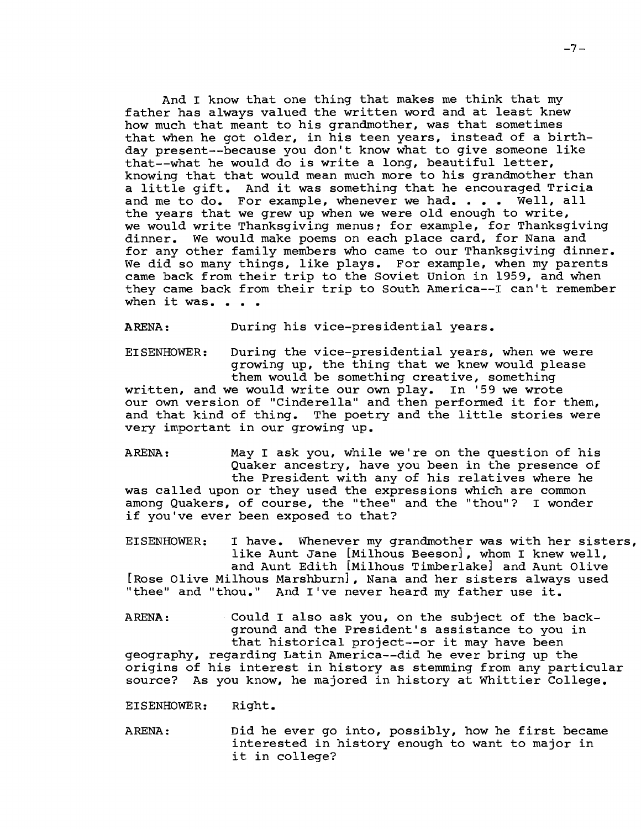And <sup>I</sup> know that one thing that makes me think that my father has always valued the written word and at least knew how much that meant to his grandmother, was that sometimes that when he got older, in his teen years, instead of <sup>a</sup> birthday present--because you don't know what to give someone like that--what he would do is write <sup>a</sup> long, beautiful letter, knowing that that would mean much more to his grandmother than <sup>a</sup> little gift. And it was something that he encouraged Tricia and me to do. For example, whenever we had. . . . Well, all the years that we grew up when we were old enough to write, we would write Thanksgiving menus; for example, for Thanksgiving dinner. We would make poems on each place card, for Nana and for any other family members who came to our Thanksgiving dinner. We did so many things, like plays. For example, when my parents came back from their trip to the Soviet Union in 1959, and when they came back from their trip to South America--I can't remember when it was. . . .

ARENA: During his vice-presidential years.

EISENHOWER: During the vice-presidential years, when we were growing up, the thing that we knew would please them would be something creative, something written, and we would write our own play. In '59 we wrote our own version of "Cinderella" and then performed it for them, and that kind of thing. The poetry and the little stories were The poetry and the little stories were very important in our growing up.

ARENA: May I ask you, while we're on the question of his Quaker ancestry, have you been in the presence of the President with any of his relatives where he was called upon or they used the expressions which are common among Quakers, of course, the "thee" and the "thou"? I wonder if you've ever been exposed to that?

EISENHOWER: <sup>I</sup> have. Whenever my grandmother was with her sisters, like Aunt Jane [Milhous Beeson], whom I knew well, and Aunt Edith [Milhous Timberlake] and Aunt Olive [Rose Olive Milhous Marshburn], Nana and her sisters always used "thee" and "thou." And I've never heard my father use it.

ARENA: Could I also ask you, on the subject of the background and the President's assistance to you in that historical project--or it may have been geography, regarding Latin America--did he ever bring up the origins of his interest in history as stemming from any particular source? As you know, he majored in history at Whittier College.

EISENHOWER: Right.

ARENA: Did he ever go into, possibly, how he first became interested in history enough to want to major in it in college?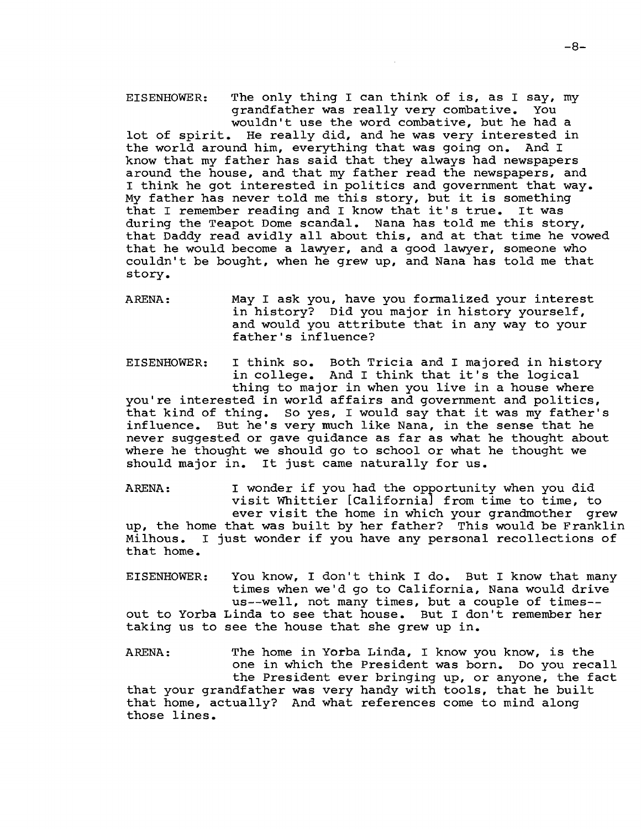EISENHOWER: The only thing I can think of is, as I say, my<br>
qrandfather was really very combative. You grandfather was really very combative. wouldn't use the word combative, but he had a lot of spirit. He really did, and he was very interested in the world around him, everything that was going on. And <sup>I</sup> know that my father has said that they always had newspapers around the house, and that my father read the newspapers, and <sup>I</sup> think he got interested in politics and government that way. My father has never told me this story, but it is something that <sup>I</sup> remember reading and <sup>I</sup> know that it's true. It was during the Teapot Dome scandal. Nana has told me this story, that Daddy read avidly all about this, and at that time he vowed that he would become <sup>a</sup> lawyer, and <sup>a</sup> good lawyer, someone who couldn't be bought, when he grew up, and Nana has told me that story.

ARENA: May <sup>I</sup> ask you, have you formalized your interest in history? Did you major in history yourself, and would you attribute that in any way to your father's influence?

EISENHOWER: I think so. Both Tricia and I majored in history in college. And <sup>I</sup> think that it's the logical thing to major in when you live in <sup>a</sup> house where you're interested in world affairs and government and politics, that kind of thing. So yes, <sup>I</sup> would say that it was my father's influence. But he's very much like Nana, in the sense that he never suggested or gave guidance as far as what he thought about where he thought we should go to school or what he thought we should major in. It just came naturally for us.

ARENA: <sup>I</sup> wonder if you had the opportunity when you did visit Whittier [California] from time to time, to ever visit the home in which your grandmother grew up, the home that was built by her father? This would be Franklin Milhous. <sup>I</sup> just wonder if you have any personal recollections of that home.

EISENHOWER: You know, <sup>I</sup> don't think <sup>I</sup> do. But <sup>I</sup> know that many times when we'd go to California, Nana would drive us--well, not many times, but a couple of times- out to Yorba Linda to see that house. But <sup>I</sup> don't remember her taking us to see the house that she grew up in.

ARENA: The home in Yorba Linda, <sup>I</sup> know you know, is the one in which the President was born. Do you recall the President ever bringing up, or anyone, the fact that your grandfather was very handy with tools, that he built that home, actually? And what references come to mind along those lines.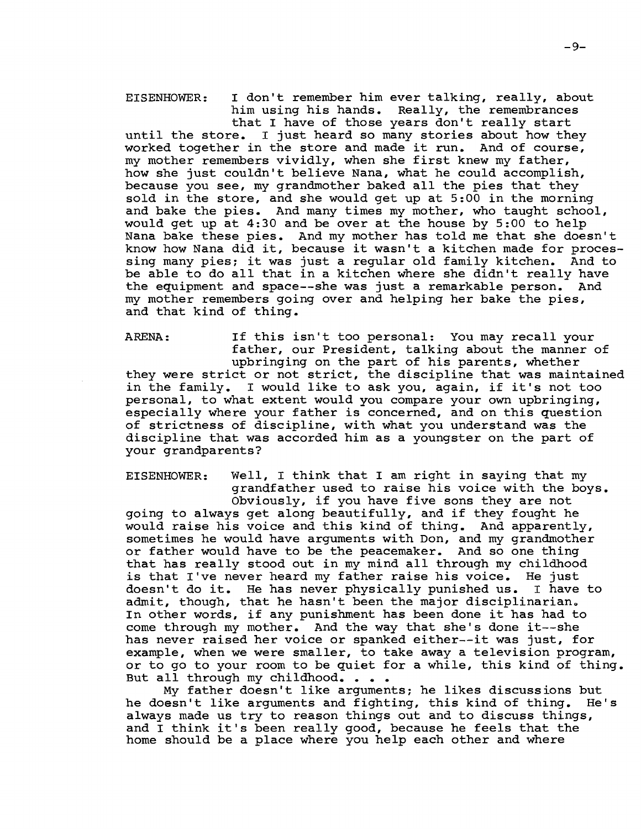EISENHOWER: <sup>I</sup> don't remember him ever talking, really, about him using his hands. Really, the remembrances that <sup>I</sup> have of those years don't really start

until the store. <sup>I</sup> just heard so many stories about how they worked together in the store and made it run. And of course, my mother remembers vividly, when she first knew my father, how she just couldn't believe Nana, what he could accomplish, because you see, my grandmother baked all the pies that they sold in the store, and she would get up at 5:00 in the morning and bake the pies. And many times my mother, who taught school, would get up at 4:30 and be over at the house by 5:00 to help Nana bake these pies. And my mother has told me that she doesn't know how Nana did it, because it wasn't <sup>a</sup> kitchen made for processing many pies; it was just <sup>a</sup> regular old family kitchen. And to be able to do all that in <sup>a</sup> kitchen where she didn't really have the equipment and space--she was just <sup>a</sup> remarkable person. And my mother remembers going over and helping her bake the pies, and that kind of thing.

ARENA: If this isn't too personal: You may recall your father, our President, talking about the manner of upbringing on the part of his parents, whether they were strict or not strict, the discipline that was maintained in the family. <sup>I</sup> would like to ask you, again, if it's not too personal, to what extent would you compare your own upbringing, especially where your father is concerned, and on this question of strictness of discipline, with what you understand was the discipline that was accorded him as <sup>a</sup> youngster on the part of your grandparents?

EISENHOWER: Well, <sup>I</sup> think that <sup>I</sup> am right in saying that my grandfather used to raise his voice with the boys. Obviously, if you have five sons they are not going to always get along beautifully, and if they fought he young to dimage you diving socationizing, and if they reagne no<br>would raise his voice and this kind of thing. And apparently, sometimes he would have arguments with Don, and my grandmother or father would have to be the peacemaker. And so one thing that has really stood out in my mind all through my childhood is that I've never heard my father raise his voice. He just<br>doesn't do it. He has never physically punished us. I have to doesn't do it. He has never physically punished us. admit, though, that he hasn't been the major disciplinarian. In other words, if any punishment has been done it has had to come through my mother. And the way that she's done it--she has never raised her voice or spanked either--it was just, for example, when we were smaller, to take away <sup>a</sup> television program, or to go to your room to be quiet for <sup>a</sup> while, this kind of thing. But all through my childhood. . . .

My father doesn't like arguments; he likes discussions but he doesn't like arguments and fighting, this kind of thing. He's always made us try to reason things out and to discuss things, and <sup>I</sup> think it's been really good, because he feels that the home should be a place where you help each other and where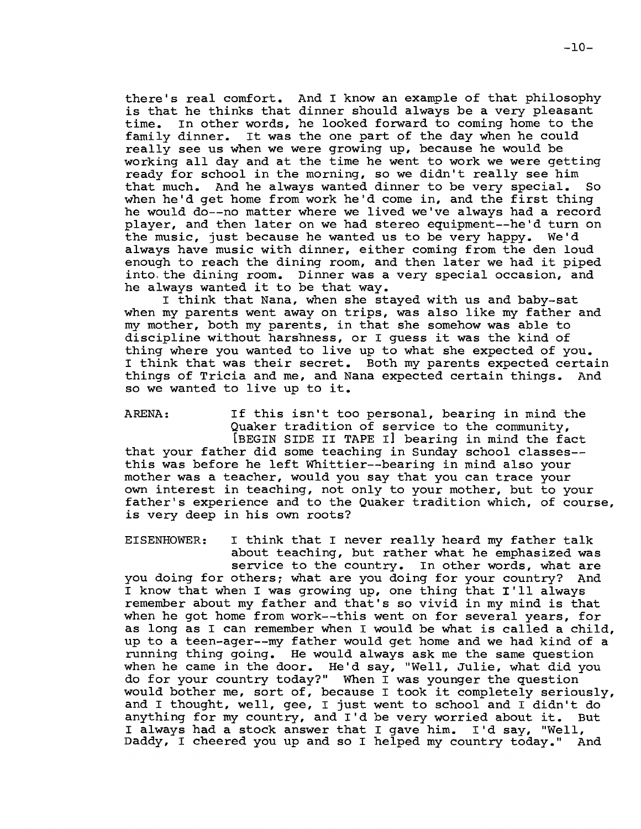there's real comfort. And <sup>I</sup> know an example of that philosophy is that he thinks that dinner should always be <sup>a</sup> very pleasant time. In other words, he looked forward to coming home to the family dinner. It was the one part of the day when he could really see us when we were growing up, because he would be working all day and at the time he went to work we were getting ready for school in the morning, so we didn't really see him that much. And he always wanted dinner to be very special. So when he'd get home from work he'd come in, and the first thing he would do--no matter where we lived we've always had a record player, and then later on we had stereo equipment--he'd turn on<br>the music, just because he wanted us to be very happy. We'd the music, just because he wanted us to be very happy. always have music with dinner, either coming from the den loud enough to reach the dining room, and then later we had it piped into, the dining room. Dinner was a very special occasion, and he always wanted it to be that way.

<sup>I</sup> think that Nana, when she stayed with us and baby-sat when my parents went away on trips, was also like my father and my mother, both my parents, in that she somehow was able to discipline without harshness, or <sup>I</sup> guess it was the kind of thing where you wanted to live up to what she expected of you. I think that was their secret. Both my parents expected certain<br>things of Tricia and me, and Nana expected certain things. And things of Tricia and me, and Nana expected certain things. so we wanted to live up to it.

ARENA: If this isn't too personal, bearing in mind the Quaker tradition of service to the community, [BEGIN SIDE II TAPE I] bearing in mind the fact

that your father did some teaching in Sunday school classes- this was before he left Whittier--bearing in mind also your mother was <sup>a</sup> teacher, would you say that you can trace your own interest in teaching, not only to your mother, but to your father's experience and to the Quaker tradition which, of course, is very deep in his own roots?

EISENHOWER: <sup>I</sup> think that <sup>I</sup> never really heard my father talk about teaching, but rather what he emphasized was service to the country. In other words, what are you doing for others; what are you doing for your country? And <sup>I</sup> know that when <sup>I</sup> was growing up, one thing that I'll always remember about my father and that's so vivid in my mind is that when he got home from work--this went on for several years, for as long as <sup>I</sup> can remember when <sup>I</sup> would be what is called <sup>a</sup> child, up to a teen-ager--my father would get home and we had kind of a running thing going. He would always ask me the same question when he came in the door. He'd say, "Well, Julie, what did you do for your country today?" When I was younger the question would bother me, sort of, because <sup>I</sup> took it completely seriously, and <sup>I</sup> thought, well, gee, <sup>I</sup> just went to school and <sup>I</sup> didn't do anything for my country, and I'd be very worried about it. But any ching for my councry, and I d be very worffed about ft. E<br>I always had a stock answer that I gave him. I'd say, "Well, Daddy, I cheered you up and so I helped my country today." And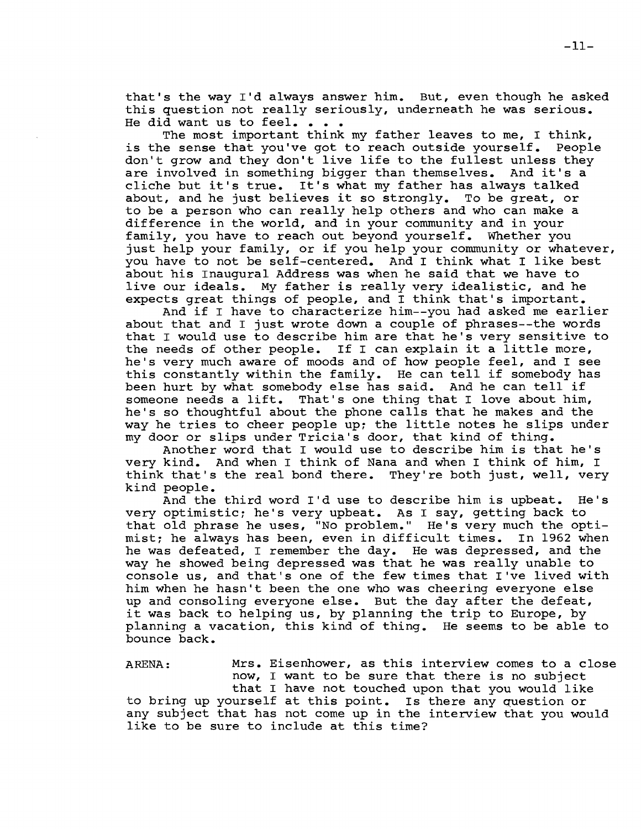that's the way I'd always answer him. But, even though he asked this question not really seriously, underneath he was serious. He did want us to feel. . .

The most important think my father leaves to me, I think, is the sense that you've got to reach outside yourself. People don't grow and they don't live life to the fullest unless they are involved in something bigger than themselves. And it's <sup>a</sup> cliche but it's true. It's what my father has always talked about, and he just believes it so strongly. To be great, or to be <sup>a</sup> person who can really help others and who can make <sup>a</sup> difference in the world, and in your community and in your family, you have to reach out beyond yourself. Whether you just help your family, or if you help your community or whatever, you have to not be self-centered. And I think what I like best about his Inaugural Address was when he said that we have to live our ideals. My father is really very idealistic, and he expects great things of people, and <sup>I</sup> think that's important.

And if <sup>I</sup> have to characterize him--you had asked me earlier about that and <sup>I</sup> just wrote down <sup>a</sup> couple of phrases--the words that I would use to describe him are that he's very sensitive to the needs of other people. If <sup>I</sup> can explain it <sup>a</sup> little more, he's very much aware of moods and of how people feel, and <sup>I</sup> see this constantly within the family. He can tell if somebody has been hurt by what somebody else has said. And he can tell if someone needs <sup>a</sup> lift. That's one thing that <sup>I</sup> love about him, he's so thoughtful about the phone calls that he makes and the way he tries to cheer people up; the little notes he slips under my door or slips under Tricia's door, that kind of thing.

Another word that <sup>I</sup> would use to describe him is that he's very kind. And when I think of Nana and when I think of him, I think that's the real bond there. They're both just, well, very kind people.

And the third word I'd use to describe him is upbeat. He's very optimistic; he's very upbeat. As I say, getting back to that old phrase he uses, "No problem." He's very much the optimist; he always has been, even in difficult times. In 1962 when he was defeated, I remember the day. He was depressed, and the way he showed being depressed was that he was really unable to console us, and that's one of the few times that I've lived with him when he hasn't been the one who was cheering everyone else up and consoling everyone else. But the day after the defeat, it was back to helping us, by planning the trip to Europe, by planning <sup>a</sup> vacation, this kind of thing. He seems to be able to bounce back.

ARENA: Mrs. Eisenhower, as this interview comes to <sup>a</sup> close now, <sup>I</sup> want to be sure that there is no subject that <sup>I</sup> have not touched upon that you would like to bring up yourself at this point. Is there any question or any subject that has not come up in the interview that you would like to be sure to include at this time?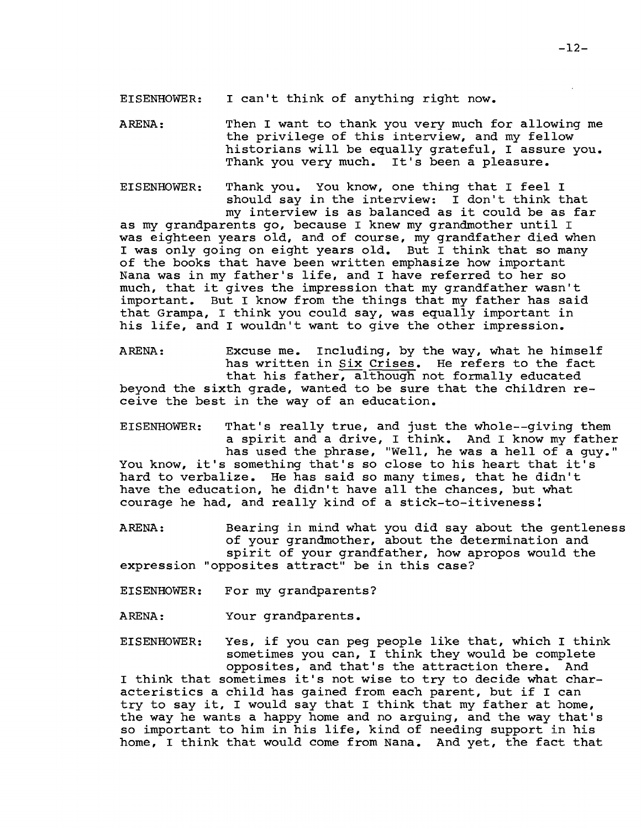EISENHOWER: <sup>I</sup> can't think of anything right now.

ARENA: Then I want to thank you very much for allowing me the privilege of this interview, and my fellow historians will be equally grateful, I assure you. Thank you very much. It's been a pleasure.

EISENHOWER: Thank you. You know, one thing that <sup>I</sup> feel <sup>I</sup> should say in the interview: <sup>I</sup> don't think that my interview is as balanced as it could be as far as my grandparents go, because <sup>I</sup> knew my grandmother until <sup>I</sup> was eighteen years old, and of course, my grandfather died when <sup>I</sup> was only going on eight years old. But <sup>I</sup> think that so many of the books that have been written emphasize how important Nana was in my father's life, and <sup>I</sup> have referred to her so much, that it gives the impression that my grandfather wasn't important. But <sup>I</sup> know from the things that my father has said that Grampa, <sup>I</sup> think you could say, was equally important in his life, and <sup>I</sup> wouldn't want to give the other impression.

ARENA: Excuse me. Including, by the way, what he himself has written in Six Crises. He refers to the fact that his father, although not formally educated beyond the sixth grade, wanted to be sure that the children receive the best in the way of an education.

EISENHOWER: That's really true, and just the whole--giving them <sup>a</sup> spirit and <sup>a</sup> drive, <sup>I</sup> think. And <sup>I</sup> know my father has used the phrase, "Well, he was <sup>a</sup> hell of <sup>a</sup> guy." You know, it's something that's so close to his heart that it's hard to verbalize. He has said so many times, that he didn't have the education, he didn't have all the chances, but what courage he had, and really kind of a stick-to-itiveness!

ARENA: Bearing in mind what you did say about the gentleness of your grandmother, about the determination and spirit of your grandfather, how apropos would the expression "opposites attract" be in this case?

EISENHOWER: For my grandparents?

ARENA: Your grandparents.

EISENHOWER: Yes, if you can peg people like that, which <sup>I</sup> think sometimes you can, I think they would be complete opposites, and that's the attraction there. And <sup>I</sup> think that sometimes it's not wise to try to decide what characteristics <sup>a</sup> child has gained from each parent, but if <sup>I</sup> can try to say it, <sup>I</sup> would say that <sup>I</sup> think that my father at home, the way he wants <sup>a</sup> happy home and no arguing, and the way that's

so important to him in his life, kind of needing support in his home, <sup>I</sup> think that would come from Nana. And yet, the fact that